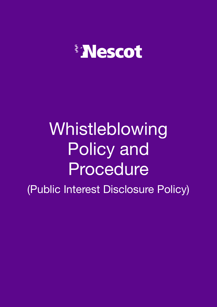

# Whistleblowing Policy and Procedure

(Public Interest Disclosure Policy)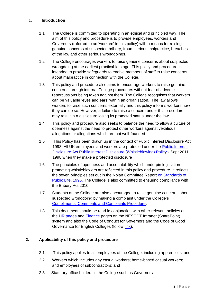#### **1. Introduction**

- 1.1 The College is committed to operating in an ethical and principled way. The aim of this policy and procedure is to provide employees, workers and Governors (referred to as 'workers' in this policy) with a means for raising genuine concerns of suspected bribery, fraud, serious malpractice, breaches of the law and other serious wrongdoings.
- 1.2 The College encourages workers to raise genuine concerns about suspected wrongdoing at the earliest practicable stage. This policy and procedure is intended to provide safeguards to enable members of staff to raise concerns about malpractice in connection with the College.
- 1.3 This policy and procedure also aims to encourage workers to raise genuine concerns through internal College procedures without fear of adverse repercussions being taken against them. The College recognises that workers can be valuable 'eyes and ears' within an organisation. The law allows workers to raise such concerns externally and this policy informs workers how they can do so. However, a failure to raise a concern under this procedure may result in a disclosure losing its protected status under the law.
- 1.4 This policy and procedure also seeks to balance the need to allow a culture of openness against the need to protect other workers against vexatious allegations or allegations which are not well-founded.
- 1.5 This Policy has been drawn up in the context of Public Interest Disclosure Act 1998. All UK employees and workers are protected under the [Public Interest](http://www.legislation.gov.uk/ukpga/1998/23/section/1) [Disclosure Act Public Interest Disclosure \(Whistleblowing\) Policy](http://www.legislation.gov.uk/ukpga/1998/23/section/1) - Sept 2011 1998 when they make a protected disclosure
- 1.6 The principles of openness and accountability which underpin legislation protecting whistleblowers are reflected in this policy and procedure. It reflects the seven principles set out in the Nolan Committee Report [on Standards of](https://www.gov.uk/government/publications/the-7-principles-of-public-life) [Public Life, 1996.](https://www.gov.uk/government/publications/the-7-principles-of-public-life) The College is also committed to ensuring compliance with the Bribery Act 2010.
- 1.7 Students at the College are also encouraged to raise genuine concerns about suspected wrongdoing by making a complaint under the College's [Compliments, Comments and Complaints Procedure.](http://www.nescot.ac.uk/assets/files/Policies/Policies%202015/Compliments%20Suggstns%20Complaints%20%20A5%20Leaflet%202016.pdf)
- 1.8 This document should be read in conjunction with other relevant policies on the [HR pages](http://portal.nescot.ac.uk/college/hrpayroll/hr/Pages/default.aspx) and [Finance](http://portal.nescot.ac.uk/data/financepub/Pages/default.aspx) pages on the NESCOT Intranet (SharePoint) system and also the Code of Conduct for Governors and the Code of Good Governance for English Colleges (follow [link\).](http://www.nescot.ac.uk/about-nescot/corporation-and-governance/corporation/)

## **2. Applicability of this policy and procedure**

- 2.1 This policy applies to all employees of the College, including apprentices; and
- 2.2 Workers which includes any casual workers; home-based casual workers; and employees of subcontractors; and
- 2.3 Statutory office holders in the College such as Governors.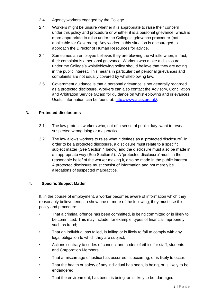- 2.4 Agency workers engaged by the College.
- 2.4 Workers might be unsure whether it is appropriate to raise their concern under this policy and procedure or whether it is a personal grievance, which is more appropriate to raise under the College's grievance procedure (not applicable for Governors). Any worker in this situation is encouraged to approach the Director of Human Resources for advice.
- 2.4 Sometimes an employee believes they are blowing the whistle when, in fact, their complaint is a personal grievance. Workers who make a disclosure under the College's whistleblowing policy should believe that they are acting in the public interest. This means in particular that personal grievances and complaints are not usually covered by whistleblowing law.
- 2.5 Government guidance is that a personal grievance is not generally regarded as a protected disclosure. Workers can also contact the Advisory, Conciliation and Arbitration Service (Acas) for guidance on whistleblowing and grievances. Useful information can be found at: [http://www.acas.org.uk/.](http://www.acas.org.uk/)

## **3. Protected disclosures**

- 3.1 The law protects workers who, out of a sense of public duty, want to reveal suspected wrongdoing or malpractice.
- 3.2 The law allows workers to raise what it defines as a 'protected disclosure'. In order to be a protected disclosure, a disclosure must relate to a specific subject matter (See Section 4 below) and the disclosure must also be made in an appropriate way (See Section 5). A 'protected disclosure' must, in the reasonable belief of the worker making it, also be made in the public interest. A protected disclosure must consist of information and not merely be allegations of suspected malpractice.

## **4. Specific Subject Matter**

If, in the course of employment, a worker becomes aware of information which they reasonably believe tends to show one or more of the following, they must use this policy and procedure:

- That a criminal offence has been committed, is being committed or is likely to be committed. This may include, for example, types of financial impropriety such as fraud;
- That an individual has failed, is failing or is likely to fail to comply with any legal obligation to which they are subject;
- Actions contrary to codes of conduct and codes of ethics for staff, students and Corporation Members.
- That a miscarriage of justice has occurred, is occurring, or is likely to occur.
- That the health or safety of any individual has been, is being, or is likely to be, endangered.
- That the environment, has been, is being, or is likely to be, damaged.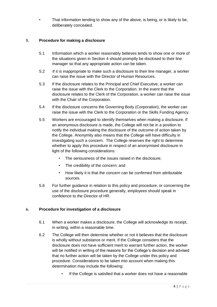That information tending to show any of the above, is being, or is likely to be, deliberately concealed.

## **5. Procedure for making a disclosure**

- 5.1 Information which a worker reasonably believes tends to show one or more of the situations given in Section 4 should promptly be disclosed to their line manager so that any appropriate action can be taken.
- 5.2 If it is inappropriate to make such a disclosure to their line manager, a worker can raise the issue with the Director of Human Resources.
- 5.3 If the disclosure relates to the Principal and Chief Executive, a worker can raise the issue with the Clerk to the Corporation. In the event that the disclosure relates to the Clerk of the Corporation, a worker can raise the issue with the Chair of the Corporation.
- 5.4 If the disclosure concerns the Governing Body (Corporation), the worker can raise the issue with the Clerk to the Corporation or the Skills Funding Agency.
- 5.5 Workers are encouraged to identify themselves when making a disclosure. If an anonymous disclosure is made, the College will not be in a position to notify the individual making the disclosure of the outcome of action taken by the College. Anonymity also means that the College will have difficulty in investigating such a concern. The College reserves the right to determine whether to apply this procedure in respect of an anonymised disclosure in light of the following considerations:
	- The seriousness of the issues raised in the disclosure;
	- The credibility of the concern; and
	- How likely it is that the concern can be confirmed from attributable sources.
- 5.6 For further guidance in relation to this policy and procedure, or concerning the use of the disclosure procedure generally, employees should speak in confidence to the Director of HR.

## **6. Procedure for investigation of a disclosure**

- 6.1 When a worker makes a disclosure, the College will acknowledge its receipt, in writing, within a reasonable time.
- 6.2 The College will then determine whether or not it believes that the disclosure is wholly without substance or merit. If the College considers that the disclosure does not have sufficient merit to warrant further action, the worker will be notified in writing of the reasons for the College's decision and advised that no further action will be taken by the College under this policy and procedure. Considerations to be taken into account when making this determination may include the following:
	- If the College is satisfied that a worker does not have a reasonable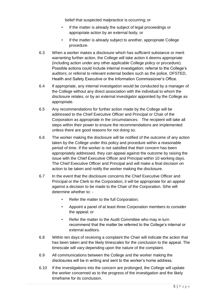belief that suspected malpractice is occurring; or

- If the matter is already the subject of legal proceedings or appropriate action by an external body; or
- If the matter is already subject to another, appropriate College procedure.
- 6.3 When a worker makes a disclosure which has sufficient substance or merit warranting further action, the College will take action it deems appropriate (including action under any other applicable College policy or procedure). Possible actions could include internal investigation; referral to the College's auditors; or referral to relevant external bodies such as the police, OFSTED, Health and Safety Executive or the Information Commissioner's Office.
- 6.4 If appropriate, any internal investigation would be conducted by a manager of the College without any direct association with the individual to whom the disclosure relates, or by an external investigator appointed by the College as appropriate.
- 6.5 Any recommendations for further action made by the College will be addressed to the Chief Executive Officer and Principal or Chair of the Corporation as appropriate in the circumstances. The recipient will take all steps within their power to ensure the recommendations are implemented unless there are good reasons for not doing so.
- 6.6 The worker making the disclosure will be notified of the outcome of any action taken by the College under this policy and procedure within a reasonable period of time. If the worker is not satisfied that their concern has been appropriately addressed, they can appeal against the outcome by raising the issue with the Chief Executive Officer and Principal within 10 working days. The Chief Executive Officer and Principal and will make a final decision on action to be taken and notify the worker making the disclosure.
- 6.7 In the event that the disclosure concerns the Chief Executive Officer and Principal or the Clerk to the Corporation, it will be appropriate for an appeal against a decision to be made to the Chair of the Corporation. S/he will determine whether to: -
	- Refer the matter to the full Corporation;
	- Appoint a panel of at least three Corporation members to consider the appeal; or
	- Refer the matter to the Audit Committee who may in turn recommend that the matter be referred to the College's internal or external auditors.
- 6.8 Within ten days of receiving a complaint the Chair will indicate the action that has been taken and the likely timescales for the conclusion to the appeal. The timescale will vary depending upon the nature of the complaint.
- 6.9 All communications between the College and the worker making the disclosures will be in writing and sent to the worker's home address.
- 6.10 If the investigations into the concern are prolonged, the College will update the worker concerned as to the progress of the investigation and the likely timeframe for its conclusion.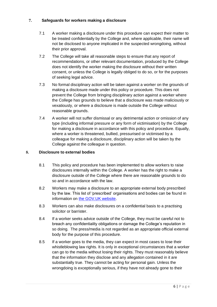## **7. Safeguards for workers making a disclosure**

- 7.1 A worker making a disclosure under this procedure can expect their matter to be treated confidentially by the College and, where applicable, their name will not be disclosed to anyone implicated in the suspected wrongdoing, without their prior approval.
- 7.2 The College will take all reasonable steps to ensure that any report of recommendations, or other relevant documentation, produced by the College does not identify the worker making the disclosure without their written consent, or unless the College is legally obliged to do so, or for the purposes of seeking legal advice.
- 7.3 No formal disciplinary action will be taken against a worker on the grounds of making a disclosure made under this policy or procedure. This does not prevent the College from bringing disciplinary action against a worker where the College has grounds to believe that a disclosure was made maliciously or vexatiously, or where a disclosure is made outside the College without reasonable grounds.
- 7.4 A worker will not suffer dismissal or any detrimental action or omission of any type (including informal pressure or any form of victimisation) by the College for making a disclosure in accordance with this policy and procedure. Equally, where a worker is threatened, bullied, pressurised or victimised by a colleague for making a disclosure, disciplinary action will be taken by the College against the colleague in question.

## **8. Disclosure to external bodies**

- 8.1 This policy and procedure has been implemented to allow workers to raise disclosures internally within the College. A worker has the right to make a disclosure outside of the College where there are reasonable grounds to do so and in accordance with the law.
- 8.2 Workers may make a disclosure to an appropriate external body prescribed by the law. This list of 'prescribed' organisations and bodies can be found in information on [the GOV.UK website.](https://www.gov.uk/government/uploads/system/uploads/attachment_data/file/183340/11-641-blowing-the-whistle-to-a-prescribed-person.pdf)
- 8.3 Workers can also make disclosures on a confidential basis to a practising solicitor or barrister.
- 8.4 If a worker seeks advice outside of the College, they must be careful not to breach any confidentiality obligations or damage the College's reputation in so doing. The press/media is not regarded as an appropriate official external body for the purpose of this procedure.
- 8.5 If a worker goes to the media, they can expect in most cases to lose their whistleblowing law rights. It is only in exceptional circumstances that a worker can go to the media without losing their rights. They must reasonably believe that the information they disclose and any allegation contained in it are substantially true. They cannot be acting for personal gain. Unless the wrongdoing is exceptionally serious, if they have not already gone to their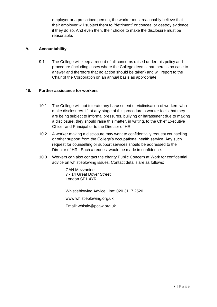employer or a prescribed person, the worker must reasonably believe that their employer will subject them to "detriment" or conceal or destroy evidence if they do so. And even then, their choice to make the disclosure must be reasonable.

#### **9. Accountability**

9.1 The College will keep a record of all concerns raised under this policy and procedure (including cases where the College deems that there is no case to answer and therefore that no action should be taken) and will report to the Chair of the Corporation on an annual basis as appropriate.

#### **10. Further assistance for workers**

- 10.1 The College will not tolerate any harassment or victimisation of workers who make disclosures. If, at any stage of this procedure a worker feels that they are being subject to informal pressures, bullying or harassment due to making a disclosure, they should raise this matter, in writing, to the Chief Executive Officer and Principal or to the Director of HR.
- 10.2 A worker making a disclosure may want to confidentially request counselling or other support from the College's occupational health service. Any such request for counselling or support services should be addressed to the Director of HR. Such a request would be made in confidence.
- 10.3 Workers can also contact the charity Public Concern at Work for confidential advice on whistleblowing issues. Contact details are as follows:

CAN Mezzanine 7 - 14 Great Dover Street London SE1 4YR

Whistleblowing Advice Line: 020 3117 2520

www.whistleblowing.org.u[k](http://www.pcaw.org.uk/)

Email: whistle@pcaw.org.uk